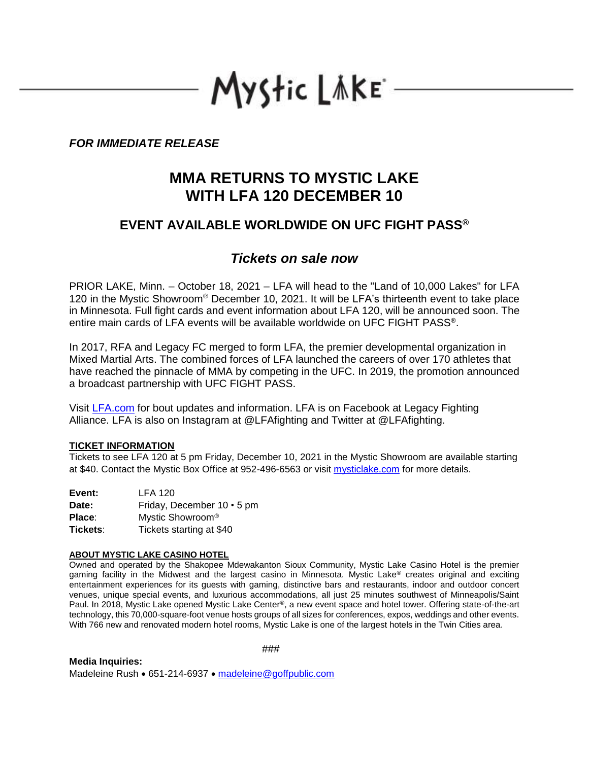# Mystic LAKE

## *FOR IMMEDIATE RELEASE*

## **MMA RETURNS TO MYSTIC LAKE WITH LFA 120 DECEMBER 10**

## **EVENT AVAILABLE WORLDWIDE ON UFC FIGHT PASS®**

## *Tickets on sale now*

PRIOR LAKE, Minn. – October 18, 2021 – LFA will head to the "Land of 10,000 Lakes" for LFA 120 in the Mystic Showroom® December 10, 2021. It will be LFA's thirteenth event to take place in Minnesota. Full fight cards and event information about LFA 120, will be announced soon. The entire main cards of LFA events will be available worldwide on UFC FIGHT PASS® .

In 2017, RFA and Legacy FC merged to form LFA, the premier developmental organization in Mixed Martial Arts. The combined forces of LFA launched the careers of over 170 athletes that have reached the pinnacle of MMA by competing in the UFC. In 2019, the promotion announced a broadcast partnership with UFC FIGHT PASS.

Visit [LFA.com](http://lfafighting.com/) for bout updates and information. LFA is on Facebook at Legacy Fighting Alliance. LFA is also on Instagram at @LFAfighting and Twitter at @LFAfighting.

### **TICKET INFORMATION**

Tickets to see LFA 120 at 5 pm Friday, December 10, 2021 in the Mystic Showroom are available starting at \$40. Contact the Mystic Box Office at 952-496-6563 or visit [mysticlake.com](http://www.mysticlake.com/) for more details.

| Event:   | <b>LFA 120</b>               |
|----------|------------------------------|
| Date:    | Friday, December 10 • 5 pm   |
| Place:   | Mystic Showroom <sup>®</sup> |
| Tickets: | Tickets starting at \$40     |

#### **ABOUT MYSTIC LAKE CASINO HOTEL**

Owned and operated by the Shakopee Mdewakanton Sioux Community, Mystic Lake Casino Hotel is the premier gaming facility in the Midwest and the largest casino in Minnesota. Mystic Lake® creates original and exciting entertainment experiences for its guests with gaming, distinctive bars and restaurants, indoor and outdoor concert venues, unique special events, and luxurious accommodations, all just 25 minutes southwest of Minneapolis/Saint Paul. In 2018, Mystic Lake opened Mystic Lake Center®, a new event space and hotel tower. Offering state-of-the-art technology, this 70,000-square-foot venue hosts groups of all sizes for conferences, expos, weddings and other events. With 766 new and renovated modern hotel rooms, Mystic Lake is one of the largest hotels in the Twin Cities area.

**Media Inquiries:** 

###

Madeleine Rush • 651-214-6937 • [madeleine@goffpublic.com](mailto:madeleine@goffpublic.com)